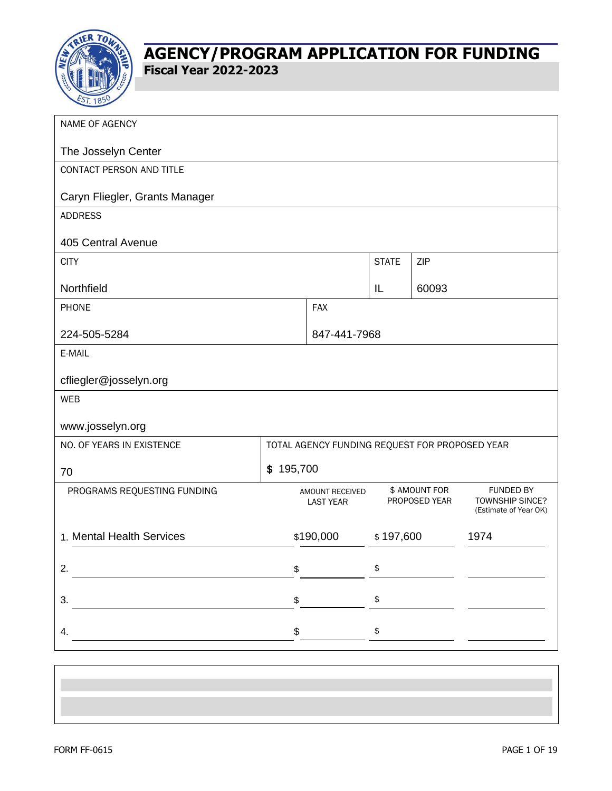

| NAME OF AGENCY                 |                  |                                                                                                                                                                                                                                                                                                                                                                                                                                 |                      |                                |                                                                     |
|--------------------------------|------------------|---------------------------------------------------------------------------------------------------------------------------------------------------------------------------------------------------------------------------------------------------------------------------------------------------------------------------------------------------------------------------------------------------------------------------------|----------------------|--------------------------------|---------------------------------------------------------------------|
| The Josselyn Center            |                  |                                                                                                                                                                                                                                                                                                                                                                                                                                 |                      |                                |                                                                     |
| CONTACT PERSON AND TITLE       |                  |                                                                                                                                                                                                                                                                                                                                                                                                                                 |                      |                                |                                                                     |
| Caryn Fliegler, Grants Manager |                  |                                                                                                                                                                                                                                                                                                                                                                                                                                 |                      |                                |                                                                     |
| <b>ADDRESS</b>                 |                  |                                                                                                                                                                                                                                                                                                                                                                                                                                 |                      |                                |                                                                     |
| 405 Central Avenue             |                  |                                                                                                                                                                                                                                                                                                                                                                                                                                 |                      |                                |                                                                     |
| <b>CITY</b>                    |                  |                                                                                                                                                                                                                                                                                                                                                                                                                                 | <b>STATE</b>         | ZIP                            |                                                                     |
| Northfield                     |                  |                                                                                                                                                                                                                                                                                                                                                                                                                                 | IL                   | 60093                          |                                                                     |
| PHONE                          |                  | <b>FAX</b>                                                                                                                                                                                                                                                                                                                                                                                                                      |                      |                                |                                                                     |
| 224-505-5284                   |                  | 847-441-7968                                                                                                                                                                                                                                                                                                                                                                                                                    |                      |                                |                                                                     |
| E-MAIL                         |                  |                                                                                                                                                                                                                                                                                                                                                                                                                                 |                      |                                |                                                                     |
| cfliegler@josselyn.org         |                  |                                                                                                                                                                                                                                                                                                                                                                                                                                 |                      |                                |                                                                     |
| <b>WEB</b>                     |                  |                                                                                                                                                                                                                                                                                                                                                                                                                                 |                      |                                |                                                                     |
| www.josselyn.org               |                  |                                                                                                                                                                                                                                                                                                                                                                                                                                 |                      |                                |                                                                     |
| NO. OF YEARS IN EXISTENCE      |                  | TOTAL AGENCY FUNDING REQUEST FOR PROPOSED YEAR                                                                                                                                                                                                                                                                                                                                                                                  |                      |                                |                                                                     |
| 70                             | \$195,700        |                                                                                                                                                                                                                                                                                                                                                                                                                                 |                      |                                |                                                                     |
| PROGRAMS REQUESTING FUNDING    |                  | AMOUNT RECEIVED<br><b>LAST YEAR</b>                                                                                                                                                                                                                                                                                                                                                                                             |                      | \$ AMOUNT FOR<br>PROPOSED YEAR | <b>FUNDED BY</b><br><b>TOWNSHIP SINCE?</b><br>(Estimate of Year OK) |
| 1. Mental Health Services      |                  | \$190,000                                                                                                                                                                                                                                                                                                                                                                                                                       | \$197,600            |                                | 1974                                                                |
| 2. $\qquad \qquad$             | \$               |                                                                                                                                                                                                                                                                                                                                                                                                                                 | \$                   |                                |                                                                     |
| $\overline{\phantom{a}}$       |                  | $\frac{1}{\sqrt{1-\frac{1}{2}}}\frac{1}{\sqrt{1-\frac{1}{2}}}\frac{1}{\sqrt{1-\frac{1}{2}}}\frac{1}{\sqrt{1-\frac{1}{2}}}\frac{1}{\sqrt{1-\frac{1}{2}}}\frac{1}{\sqrt{1-\frac{1}{2}}}\frac{1}{\sqrt{1-\frac{1}{2}}}\frac{1}{\sqrt{1-\frac{1}{2}}}\frac{1}{\sqrt{1-\frac{1}{2}}}\frac{1}{\sqrt{1-\frac{1}{2}}}\frac{1}{\sqrt{1-\frac{1}{2}}}\frac{1}{\sqrt{1-\frac{1}{2}}}\frac{1}{\sqrt{1-\frac{1}{2}}}\frac{1}{\sqrt{1-\frac{$ | $\pmb{\mathfrak{p}}$ |                                |                                                                     |
| 4.                             | $\mathfrak{S}^-$ |                                                                                                                                                                                                                                                                                                                                                                                                                                 | $\pmb{\$}$           |                                |                                                                     |
|                                |                  |                                                                                                                                                                                                                                                                                                                                                                                                                                 |                      |                                |                                                                     |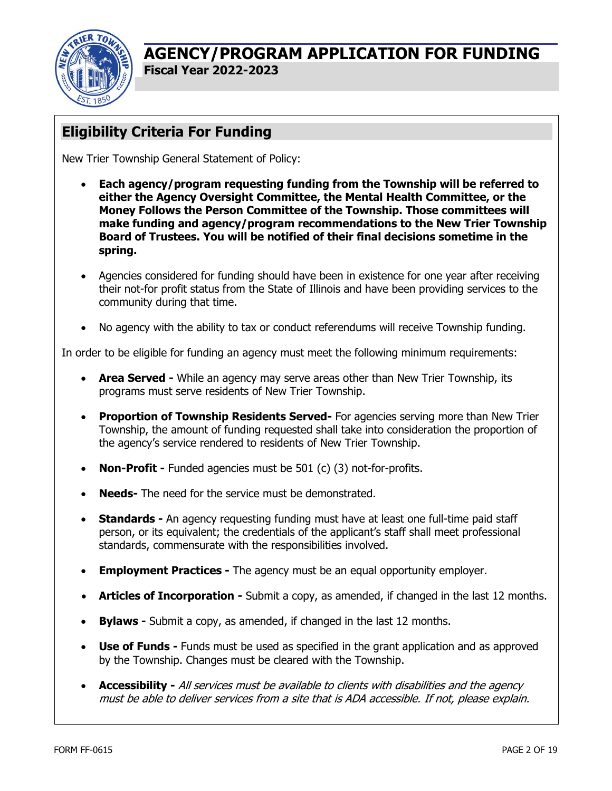

# **Eligibility Criteria For Funding**

New Trier Township General Statement of Policy:

- **Each agency/program requesting funding from the Township will be referred to either the Agency Oversight Committee, the Mental Health Committee, or the Money Follows the Person Committee of the Township. Those committees will make funding and agency/program recommendations to the New Trier Township Board of Trustees. You will be notified of their final decisions sometime in the spring.**
- Agencies considered for funding should have been in existence for one year after receiving their not-for profit status from the State of Illinois and have been providing services to the community during that time.
- No agency with the ability to tax or conduct referendums will receive Township funding.

In order to be eligible for funding an agency must meet the following minimum requirements:

- **Area Served** While an agency may serve areas other than New Trier Township, its programs must serve residents of New Trier Township.
- **Proportion of Township Residents Served-** For agencies serving more than New Trier Township, the amount of funding requested shall take into consideration the proportion of the agency's service rendered to residents of New Trier Township.
- **Non-Profit -** Funded agencies must be 501 (c) (3) not-for-profits.
- **Needs-** The need for the service must be demonstrated.
- **Standards -** An agency requesting funding must have at least one full-time paid staff person, or its equivalent; the credentials of the applicant's staff shall meet professional standards, commensurate with the responsibilities involved.
- **Employment Practices -** The agency must be an equal opportunity employer.
- **Articles of Incorporation -** Submit a copy, as amended, if changed in the last 12 months.
- **Bylaws -** Submit a copy, as amended, if changed in the last 12 months.
- **Use of Funds -** Funds must be used as specified in the grant application and as approved by the Township. Changes must be cleared with the Township.
- **Accessibility -** All services must be available to clients with disabilities and the agency must be able to deliver services from a site that is ADA accessible. If not, please explain.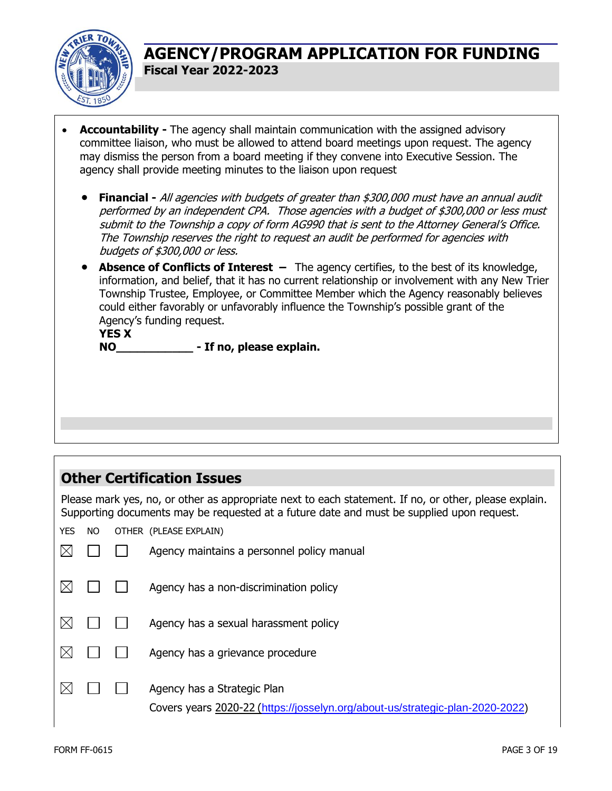

- **Accountability -** The agency shall maintain communication with the assigned advisory committee liaison, who must be allowed to attend board meetings upon request. The agency may dismiss the person from a board meeting if they convene into Executive Session. The agency shall provide meeting minutes to the liaison upon request
	- **Financial -** All agencies with budgets of greater than \$300,000 must have an annual audit performed by an independent CPA. Those agencies with a budget of \$300,000 or less must submit to the Township a copy of form AG990 that is sent to the Attorney General's Office. The Township reserves the right to request an audit be performed for agencies with budgets of \$300,000 or less.
	- **Absence of Conflicts of Interest –** The agency certifies, to the best of its knowledge, information, and belief, that it has no current relationship or involvement with any New Trier Township Trustee, Employee, or Committee Member which the Agency reasonably believes could either favorably or unfavorably influence the Township's possible grant of the Agency's funding request.

**YES X NO\_\_\_\_\_\_\_\_\_\_\_ - If no, please explain.**

# **Other Certification Issues**

Please mark yes, no, or other as appropriate next to each statement. If no, or other, please explain. Supporting documents may be requested at a future date and must be supplied upon request.

YES NO OTHER (PLEASE EXPLAIN)

|  | Agency maintains a personnel policy manual                                                                   |
|--|--------------------------------------------------------------------------------------------------------------|
|  | Agency has a non-discrimination policy                                                                       |
|  | Agency has a sexual harassment policy                                                                        |
|  | Agency has a grievance procedure                                                                             |
|  | Agency has a Strategic Plan<br>Covers years 2020-22 (https://josselyn.org/about-us/strategic-plan-2020-2022) |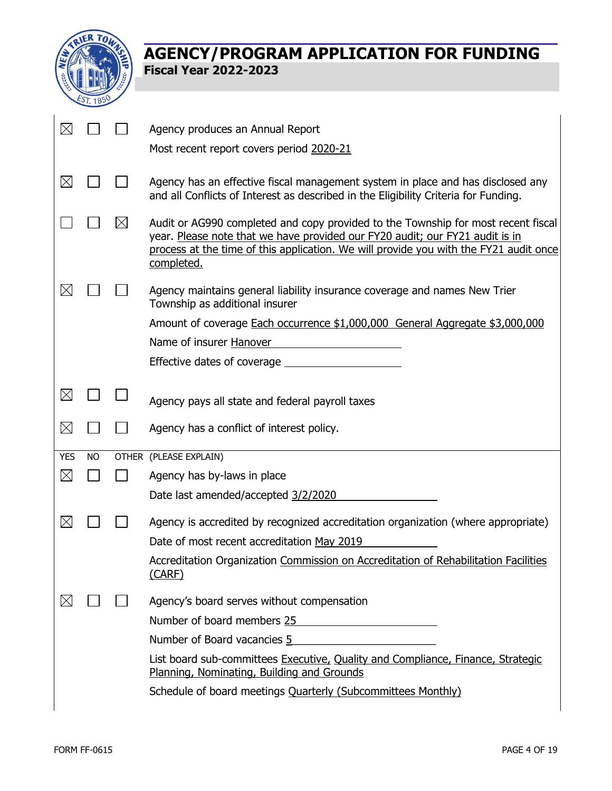

| $\boxtimes$ |           |             | Agency produces an Annual Report<br>Most recent report covers period 2020-21                                                                                                                                                                                             |
|-------------|-----------|-------------|--------------------------------------------------------------------------------------------------------------------------------------------------------------------------------------------------------------------------------------------------------------------------|
| $\boxtimes$ |           |             | Agency has an effective fiscal management system in place and has disclosed any<br>and all Conflicts of Interest as described in the Eligibility Criteria for Funding.                                                                                                   |
|             |           | $\boxtimes$ | Audit or AG990 completed and copy provided to the Township for most recent fiscal<br>year. Please note that we have provided our FY20 audit; our FY21 audit is in<br>process at the time of this application. We will provide you with the FY21 audit once<br>completed. |
| $\boxtimes$ |           |             | Agency maintains general liability insurance coverage and names New Trier<br>Township as additional insurer                                                                                                                                                              |
|             |           |             | Amount of coverage Each occurrence \$1,000,000 General Aggregate \$3,000,000                                                                                                                                                                                             |
|             |           |             | Name of insurer Hanover                                                                                                                                                                                                                                                  |
|             |           |             | Effective dates of coverage                                                                                                                                                                                                                                              |
| $\boxtimes$ |           |             | Agency pays all state and federal payroll taxes                                                                                                                                                                                                                          |
| $\boxtimes$ |           |             | Agency has a conflict of interest policy.                                                                                                                                                                                                                                |
| <b>YES</b>  | <b>NO</b> |             | OTHER (PLEASE EXPLAIN)                                                                                                                                                                                                                                                   |
| $\boxtimes$ |           |             | Agency has by-laws in place                                                                                                                                                                                                                                              |
|             |           |             | Date last amended/accepted 3/2/2020                                                                                                                                                                                                                                      |
| $\boxtimes$ |           |             | Agency is accredited by recognized accreditation organization (where appropriate)                                                                                                                                                                                        |
|             |           |             | Date of most recent accreditation May 2019                                                                                                                                                                                                                               |
|             |           |             | Accreditation Organization Commission on Accreditation of Rehabilitation Facilities<br>(CARF)                                                                                                                                                                            |
| $\boxtimes$ |           |             | Agency's board serves without compensation                                                                                                                                                                                                                               |
|             |           |             | Number of board members 25                                                                                                                                                                                                                                               |
|             |           |             | Number of Board vacancies 5<br><u> 1980 - Jan Barat, margaret a</u>                                                                                                                                                                                                      |
|             |           |             | List board sub-committees Executive, Quality and Compliance, Finance, Strategic<br>Planning, Nominating, Building and Grounds                                                                                                                                            |
|             |           |             |                                                                                                                                                                                                                                                                          |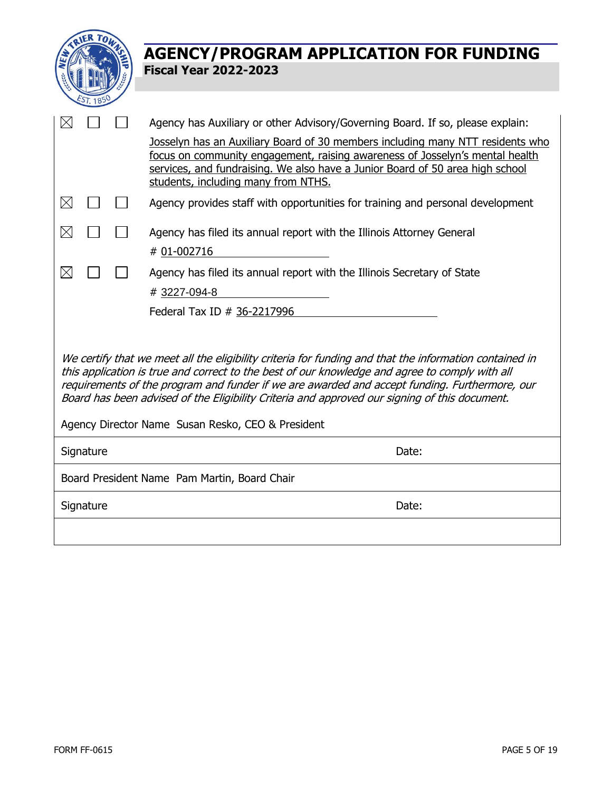|                                                                                                                                                                                                                                                                                                                                                                                                                                                                 | <b>AGENCY/PROGRAM APPLICATION FOR FUNDING</b>                                                                                                                                                                                                                                          |  |  |  |
|-----------------------------------------------------------------------------------------------------------------------------------------------------------------------------------------------------------------------------------------------------------------------------------------------------------------------------------------------------------------------------------------------------------------------------------------------------------------|----------------------------------------------------------------------------------------------------------------------------------------------------------------------------------------------------------------------------------------------------------------------------------------|--|--|--|
|                                                                                                                                                                                                                                                                                                                                                                                                                                                                 | <b>Fiscal Year 2022-2023</b>                                                                                                                                                                                                                                                           |  |  |  |
|                                                                                                                                                                                                                                                                                                                                                                                                                                                                 |                                                                                                                                                                                                                                                                                        |  |  |  |
|                                                                                                                                                                                                                                                                                                                                                                                                                                                                 |                                                                                                                                                                                                                                                                                        |  |  |  |
|                                                                                                                                                                                                                                                                                                                                                                                                                                                                 | Agency has Auxiliary or other Advisory/Governing Board. If so, please explain:                                                                                                                                                                                                         |  |  |  |
|                                                                                                                                                                                                                                                                                                                                                                                                                                                                 | Josselyn has an Auxiliary Board of 30 members including many NTT residents who<br>focus on community engagement, raising awareness of Josselyn's mental health<br>services, and fundraising. We also have a Junior Board of 50 area high school<br>students, including many from NTHS. |  |  |  |
| $\boxtimes$                                                                                                                                                                                                                                                                                                                                                                                                                                                     | Agency provides staff with opportunities for training and personal development                                                                                                                                                                                                         |  |  |  |
| $\boxtimes$                                                                                                                                                                                                                                                                                                                                                                                                                                                     | Agency has filed its annual report with the Illinois Attorney General                                                                                                                                                                                                                  |  |  |  |
|                                                                                                                                                                                                                                                                                                                                                                                                                                                                 | # 01-002716                                                                                                                                                                                                                                                                            |  |  |  |
| $\boxtimes$                                                                                                                                                                                                                                                                                                                                                                                                                                                     | Agency has filed its annual report with the Illinois Secretary of State                                                                                                                                                                                                                |  |  |  |
|                                                                                                                                                                                                                                                                                                                                                                                                                                                                 | #3227-094-8                                                                                                                                                                                                                                                                            |  |  |  |
|                                                                                                                                                                                                                                                                                                                                                                                                                                                                 | Federal Tax ID # 36-2217996                                                                                                                                                                                                                                                            |  |  |  |
| We certify that we meet all the eligibility criteria for funding and that the information contained in<br>this application is true and correct to the best of our knowledge and agree to comply with all<br>requirements of the program and funder if we are awarded and accept funding. Furthermore, our<br>Board has been advised of the Eligibility Criteria and approved our signing of this document.<br>Agency Director Name Susan Resko, CEO & President |                                                                                                                                                                                                                                                                                        |  |  |  |
| Signature                                                                                                                                                                                                                                                                                                                                                                                                                                                       | Date:                                                                                                                                                                                                                                                                                  |  |  |  |
|                                                                                                                                                                                                                                                                                                                                                                                                                                                                 | Board President Name Pam Martin, Board Chair                                                                                                                                                                                                                                           |  |  |  |
| Signature                                                                                                                                                                                                                                                                                                                                                                                                                                                       | Date:                                                                                                                                                                                                                                                                                  |  |  |  |
|                                                                                                                                                                                                                                                                                                                                                                                                                                                                 |                                                                                                                                                                                                                                                                                        |  |  |  |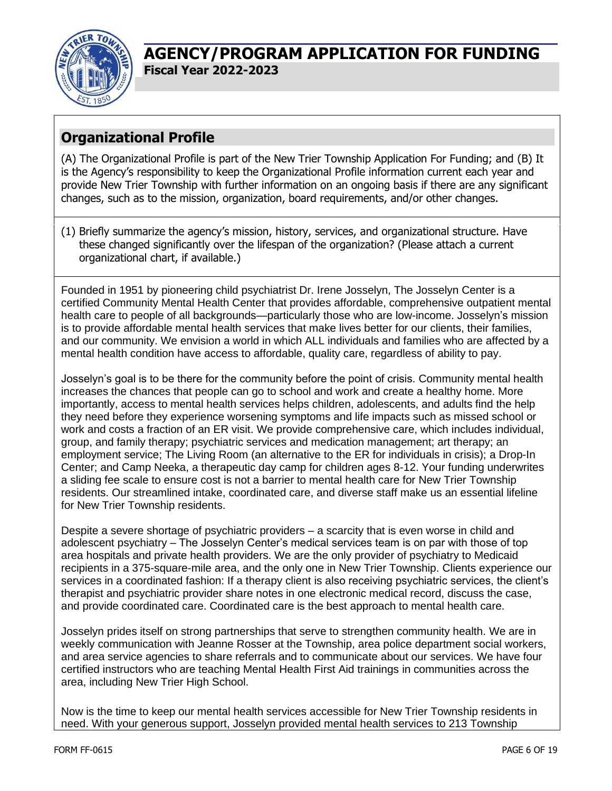

# **Organizational Profile**

(A) The Organizational Profile is part of the New Trier Township Application For Funding; and (B) It is the Agency's responsibility to keep the Organizational Profile information current each year and provide New Trier Township with further information on an ongoing basis if there are any significant changes, such as to the mission, organization, board requirements, and/or other changes.

(1) Briefly summarize the agency's mission, history, services, and organizational structure. Have these changed significantly over the lifespan of the organization? (Please attach a current organizational chart, if available.)

Founded in 1951 by pioneering child psychiatrist Dr. Irene Josselyn, The Josselyn Center is a certified Community Mental Health Center that provides affordable, comprehensive outpatient mental health care to people of all backgrounds—particularly those who are low-income. Josselyn's mission is to provide affordable mental health services that make lives better for our clients, their families, and our community. We envision a world in which ALL individuals and families who are affected by a mental health condition have access to affordable, quality care, regardless of ability to pay.

Josselyn's goal is to be there for the community before the point of crisis. Community mental health increases the chances that people can go to school and work and create a healthy home. More importantly, access to mental health services helps children, adolescents, and adults find the help they need before they experience worsening symptoms and life impacts such as missed school or work and costs a fraction of an ER visit. We provide comprehensive care, which includes individual, group, and family therapy; psychiatric services and medication management; art therapy; an employment service; The Living Room (an alternative to the ER for individuals in crisis); a Drop-In Center; and Camp Neeka, a therapeutic day camp for children ages 8-12. Your funding underwrites a sliding fee scale to ensure cost is not a barrier to mental health care for New Trier Township residents. Our streamlined intake, coordinated care, and diverse staff make us an essential lifeline for New Trier Township residents.

Despite a severe shortage of psychiatric providers – a scarcity that is even worse in child and adolescent psychiatry – The Josselyn Center's medical services team is on par with those of top area hospitals and private health providers. We are the only provider of psychiatry to Medicaid recipients in a 375-square-mile area, and the only one in New Trier Township. Clients experience our services in a coordinated fashion: If a therapy client is also receiving psychiatric services, the client's therapist and psychiatric provider share notes in one electronic medical record, discuss the case, and provide coordinated care. Coordinated care is the best approach to mental health care.

Josselyn prides itself on strong partnerships that serve to strengthen community health. We are in weekly communication with Jeanne Rosser at the Township, area police department social workers, and area service agencies to share referrals and to communicate about our services. We have four certified instructors who are teaching Mental Health First Aid trainings in communities across the area, including New Trier High School.

Now is the time to keep our mental health services accessible for New Trier Township residents in need. With your generous support, Josselyn provided mental health services to 213 Township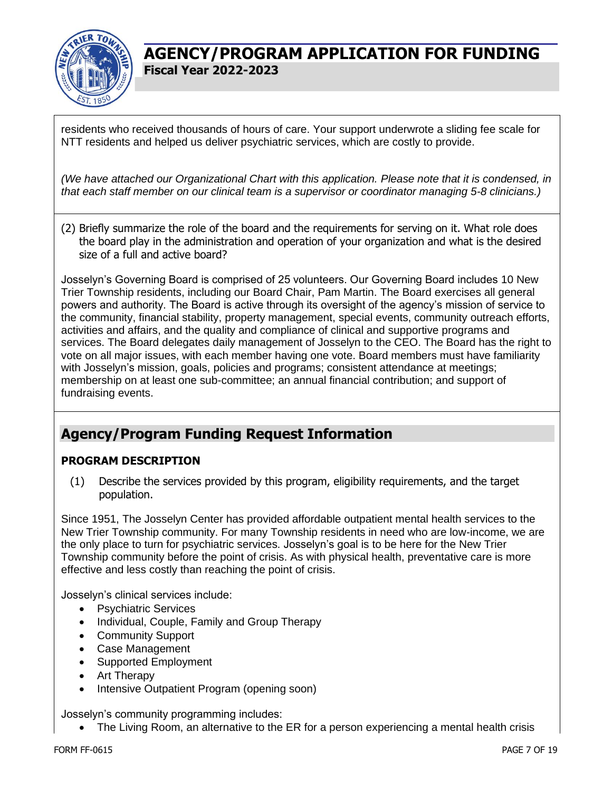

residents who received thousands of hours of care. Your support underwrote a sliding fee scale for NTT residents and helped us deliver psychiatric services, which are costly to provide.

*(We have attached our Organizational Chart with this application. Please note that it is condensed, in that each staff member on our clinical team is a supervisor or coordinator managing 5-8 clinicians.)*

(2) Briefly summarize the role of the board and the requirements for serving on it. What role does the board play in the administration and operation of your organization and what is the desired size of a full and active board?

Josselyn's Governing Board is comprised of 25 volunteers. Our Governing Board includes 10 New Trier Township residents, including our Board Chair, Pam Martin. The Board exercises all general powers and authority. The Board is active through its oversight of the agency's mission of service to the community, financial stability, property management, special events, community outreach efforts, activities and affairs, and the quality and compliance of clinical and supportive programs and services. The Board delegates daily management of Josselyn to the CEO. The Board has the right to vote on all major issues, with each member having one vote. Board members must have familiarity with Josselyn's mission, goals, policies and programs; consistent attendance at meetings; membership on at least one sub-committee; an annual financial contribution; and support of fundraising events.

### **Agency/Program Funding Request Information**

#### **PROGRAM DESCRIPTION**

(1) Describe the services provided by this program, eligibility requirements, and the target population.

Since 1951, The Josselyn Center has provided affordable outpatient mental health services to the New Trier Township community. For many Township residents in need who are low-income, we are the only place to turn for psychiatric services. Josselyn's goal is to be here for the New Trier Township community before the point of crisis. As with physical health, preventative care is more effective and less costly than reaching the point of crisis.

Josselyn's clinical services include:

- Psychiatric Services
- Individual, Couple, Family and Group Therapy
- Community Support
- Case Management
- Supported Employment
- Art Therapy
- Intensive Outpatient Program (opening soon)

Josselyn's community programming includes:

• The Living Room, an alternative to the ER for a person experiencing a mental health crisis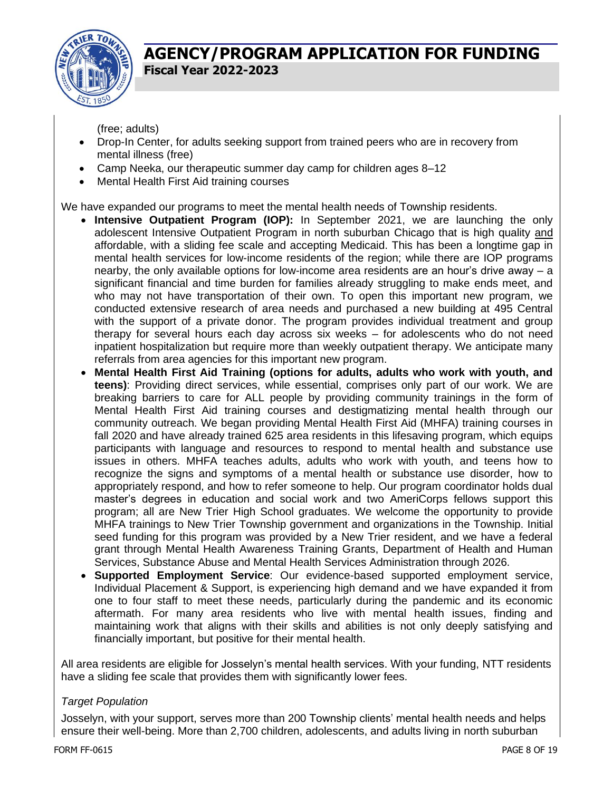

(free; adults)

- Drop-In Center, for adults seeking support from trained peers who are in recovery from mental illness (free)
- Camp Neeka, our therapeutic summer day camp for children ages 8–12
- Mental Health First Aid training courses

We have expanded our programs to meet the mental health needs of Township residents.

- **Intensive Outpatient Program (IOP):** In September 2021, we are launching the only adolescent Intensive Outpatient Program in north suburban Chicago that is high quality and affordable, with a sliding fee scale and accepting Medicaid. This has been a longtime gap in mental health services for low-income residents of the region; while there are IOP programs nearby, the only available options for low-income area residents are an hour's drive away – a significant financial and time burden for families already struggling to make ends meet, and who may not have transportation of their own. To open this important new program, we conducted extensive research of area needs and purchased a new building at 495 Central with the support of a private donor. The program provides individual treatment and group therapy for several hours each day across six weeks – for adolescents who do not need inpatient hospitalization but require more than weekly outpatient therapy. We anticipate many referrals from area agencies for this important new program.
- **Mental Health First Aid Training (options for adults, adults who work with youth, and teens)**: Providing direct services, while essential, comprises only part of our work. We are breaking barriers to care for ALL people by providing community trainings in the form of Mental Health First Aid training courses and destigmatizing mental health through our community outreach. We began providing Mental Health First Aid (MHFA) training courses in fall 2020 and have already trained 625 area residents in this lifesaving program, which equips participants with language and resources to respond to mental health and substance use issues in others. MHFA teaches adults, adults who work with youth, and teens how to recognize the signs and symptoms of a mental health or substance use disorder, how to appropriately respond, and how to refer someone to help. Our program coordinator holds dual master's degrees in education and social work and two AmeriCorps fellows support this program; all are New Trier High School graduates. We welcome the opportunity to provide MHFA trainings to New Trier Township government and organizations in the Township. Initial seed funding for this program was provided by a New Trier resident, and we have a federal grant through Mental Health Awareness Training Grants, Department of Health and Human Services, Substance Abuse and Mental Health Services Administration through 2026.
- **Supported Employment Service**: Our evidence-based supported employment service, Individual Placement & Support, is experiencing high demand and we have expanded it from one to four staff to meet these needs, particularly during the pandemic and its economic aftermath. For many area residents who live with mental health issues, finding and maintaining work that aligns with their skills and abilities is not only deeply satisfying and financially important, but positive for their mental health.

All area residents are eligible for Josselyn's mental health services. With your funding, NTT residents have a sliding fee scale that provides them with significantly lower fees.

#### *Target Population*

Josselyn, with your support, serves more than 200 Township clients' mental health needs and helps ensure their well-being. More than 2,700 children, adolescents, and adults living in north suburban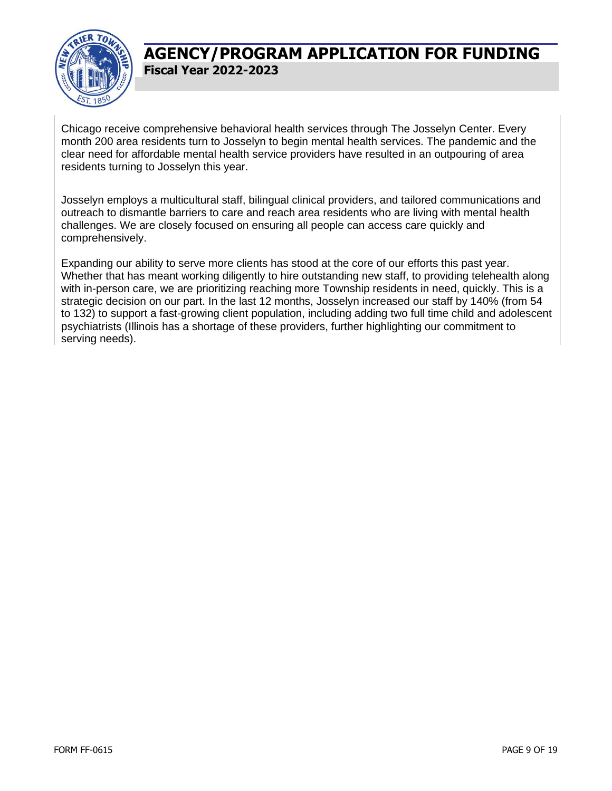

Chicago receive comprehensive behavioral health services through The Josselyn Center. Every month 200 area residents turn to Josselyn to begin mental health services. The pandemic and the clear need for affordable mental health service providers have resulted in an outpouring of area residents turning to Josselyn this year.

Josselyn employs a multicultural staff, bilingual clinical providers, and tailored communications and outreach to dismantle barriers to care and reach area residents who are living with mental health challenges. We are closely focused on ensuring all people can access care quickly and comprehensively.

Expanding our ability to serve more clients has stood at the core of our efforts this past year. Whether that has meant working diligently to hire outstanding new staff, to providing telehealth along with in-person care, we are prioritizing reaching more Township residents in need, quickly. This is a strategic decision on our part. In the last 12 months, Josselyn increased our staff by 140% (from 54 to 132) to support a fast-growing client population, including adding two full time child and adolescent psychiatrists (Illinois has a shortage of these providers, further highlighting our commitment to serving needs).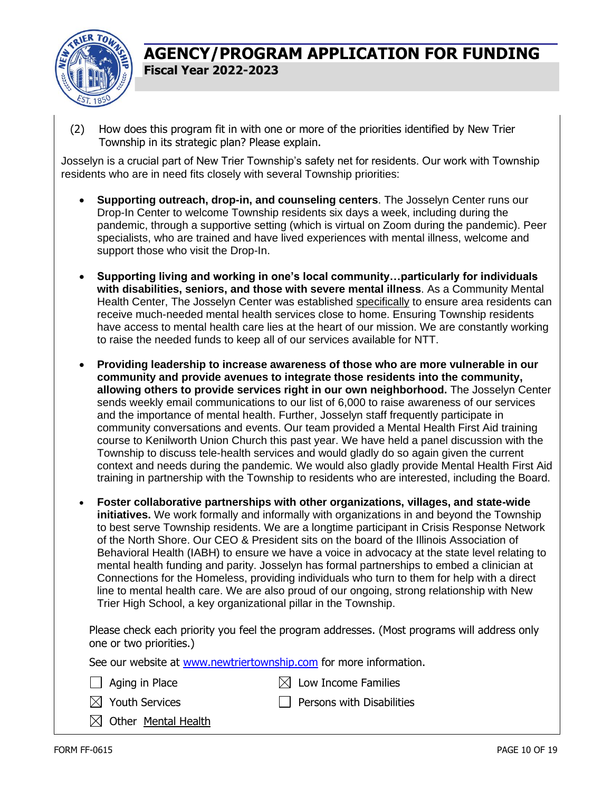

(2) How does this program fit in with one or more of the priorities identified by New Trier Township in its strategic plan? Please explain.

Josselyn is a crucial part of New Trier Township's safety net for residents. Our work with Township residents who are in need fits closely with several Township priorities:

- **Supporting outreach, drop-in, and counseling centers**. The Josselyn Center runs our Drop-In Center to welcome Township residents six days a week, including during the pandemic, through a supportive setting (which is virtual on Zoom during the pandemic). Peer specialists, who are trained and have lived experiences with mental illness, welcome and support those who visit the Drop-In.
- **Supporting living and working in one's local community…particularly for individuals with disabilities, seniors, and those with severe mental illness**. As a Community Mental Health Center, The Josselyn Center was established specifically to ensure area residents can receive much-needed mental health services close to home. Ensuring Township residents have access to mental health care lies at the heart of our mission. We are constantly working to raise the needed funds to keep all of our services available for NTT.
- **Providing leadership to increase awareness of those who are more vulnerable in our community and provide avenues to integrate those residents into the community, allowing others to provide services right in our own neighborhood.** The Josselyn Center sends weekly email communications to our list of 6,000 to raise awareness of our services and the importance of mental health. Further, Josselyn staff frequently participate in community conversations and events. Our team provided a Mental Health First Aid training course to Kenilworth Union Church this past year. We have held a panel discussion with the Township to discuss tele-health services and would gladly do so again given the current context and needs during the pandemic. We would also gladly provide Mental Health First Aid training in partnership with the Township to residents who are interested, including the Board.
- **Foster collaborative partnerships with other organizations, villages, and state-wide initiatives.** We work formally and informally with organizations in and beyond the Township to best serve Township residents. We are a longtime participant in Crisis Response Network of the North Shore. Our CEO & President sits on the board of the Illinois Association of Behavioral Health (IABH) to ensure we have a voice in advocacy at the state level relating to mental health funding and parity. Josselyn has formal partnerships to embed a clinician at Connections for the Homeless, providing individuals who turn to them for help with a direct line to mental health care. We are also proud of our ongoing, strong relationship with New Trier High School, a key organizational pillar in the Township.

Please check each priority you feel the program addresses. (Most programs will address only one or two priorities.)

See our website at [www.newtriertownship.com](http://www.newtriertownship.com/) for more information.

- $\Box$  Aging in Place  $\boxtimes$  Low Income Families
	-
- $\boxtimes$  Youth Services  $\Box$  Persons with Disabilities
- $\boxtimes$  Other Mental Health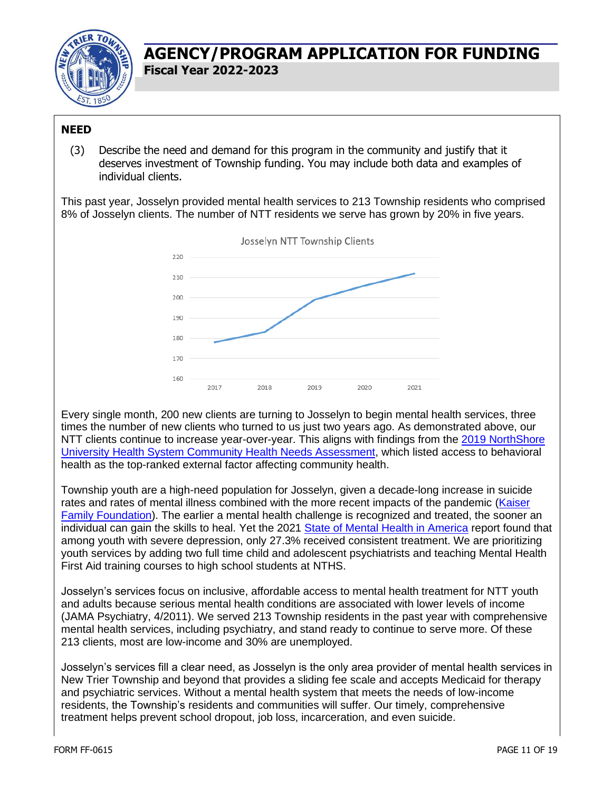

#### **NEED**

(3) Describe the need and demand for this program in the community and justify that it deserves investment of Township funding. You may include both data and examples of individual clients.

This past year, Josselyn provided mental health services to 213 Township residents who comprised 8% of Josselyn clients. The number of NTT residents we serve has grown by 20% in five years.



Every single month, 200 new clients are turning to Josselyn to begin mental health services, three times the number of new clients who turned to us just two years ago. As demonstrated above, our NTT clients continue to increase year-over-year. This aligns with findings from the 2019 NorthShore [University Health System Community Health Needs Assessment,](https://www.northshore.org/globalassets/community-and-events/northshore--chna--report-2019.pdf) which listed access to behavioral health as the top-ranked external factor affecting community health.

Township youth are a high-need population for Josselyn, given a decade-long increase in suicide rates and rates of mental illness combined with the more recent impacts of the pandemic (Kaiser [Family Foundation\)](https://www.kff.org/coronavirus-covid-19/issue-brief/mental-health-and-substance-use-considerations-among-children-during-the-covid-19-pandemic/). The earlier a mental health challenge is recognized and treated, the sooner an individual can gain the skills to heal. Yet the 2021 [State of Mental Health in America](https://mhanational.org/issues/state-mental-health-america) report found that among youth with severe depression, only 27.3% received consistent treatment. We are prioritizing youth services by adding two full time child and adolescent psychiatrists and teaching Mental Health First Aid training courses to high school students at NTHS.

Josselyn's services focus on inclusive, affordable access to mental health treatment for NTT youth and adults because serious mental health conditions are associated with lower levels of income (JAMA Psychiatry, 4/2011). We served 213 Township residents in the past year with comprehensive mental health services, including psychiatry, and stand ready to continue to serve more. Of these 213 clients, most are low-income and 30% are unemployed.

Josselyn's services fill a clear need, as Josselyn is the only area provider of mental health services in New Trier Township and beyond that provides a sliding fee scale and accepts Medicaid for therapy and psychiatric services. Without a mental health system that meets the needs of low-income residents, the Township's residents and communities will suffer. Our timely, comprehensive treatment helps prevent school dropout, job loss, incarceration, and even suicide.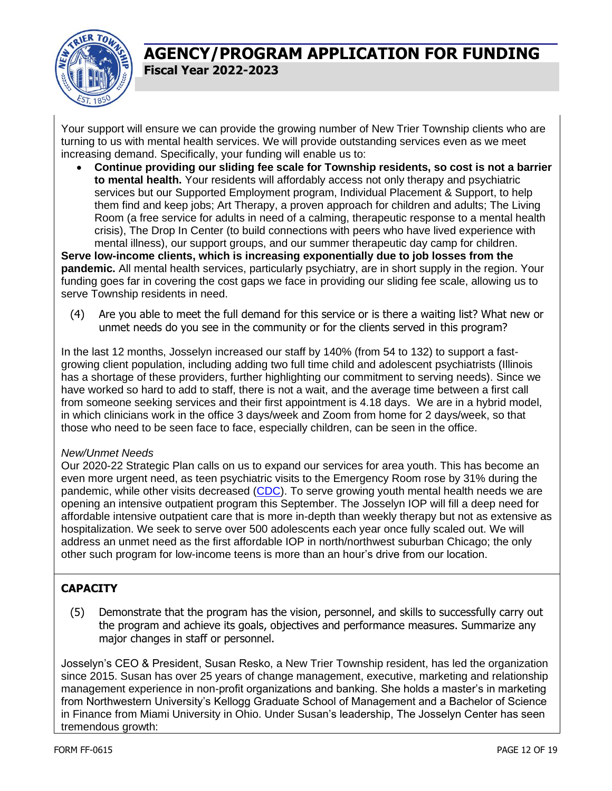

Your support will ensure we can provide the growing number of New Trier Township clients who are turning to us with mental health services. We will provide outstanding services even as we meet increasing demand. Specifically, your funding will enable us to:

• **Continue providing our sliding fee scale for Township residents, so cost is not a barrier to mental health.** Your residents will affordably access not only therapy and psychiatric services but our Supported Employment program, Individual Placement & Support, to help them find and keep jobs; Art Therapy, a proven approach for children and adults; The Living Room (a free service for adults in need of a calming, therapeutic response to a mental health crisis), The Drop In Center (to build connections with peers who have lived experience with mental illness), our support groups, and our summer therapeutic day camp for children.

**Serve low-income clients, which is increasing exponentially due to job losses from the pandemic.** All mental health services, particularly psychiatry, are in short supply in the region. Your funding goes far in covering the cost gaps we face in providing our sliding fee scale, allowing us to serve Township residents in need.

(4) Are you able to meet the full demand for this service or is there a waiting list? What new or unmet needs do you see in the community or for the clients served in this program?

In the last 12 months, Josselyn increased our staff by 140% (from 54 to 132) to support a fastgrowing client population, including adding two full time child and adolescent psychiatrists (Illinois has a shortage of these providers, further highlighting our commitment to serving needs). Since we have worked so hard to add to staff, there is not a wait, and the average time between a first call from someone seeking services and their first appointment is 4.18 days. We are in a hybrid model, in which clinicians work in the office 3 days/week and Zoom from home for 2 days/week, so that those who need to be seen face to face, especially children, can be seen in the office.

#### *New/Unmet Needs*

Our 2020-22 Strategic Plan calls on us to expand our services for area youth. This has become an even more urgent need, as teen psychiatric visits to the Emergency Room rose by 31% during the pandemic, while other visits decreased [\(CDC\)](https://www.cdc.gov/mmwr/volumes/69/wr/mm6945a3.htm). To serve growing youth mental health needs we are opening an intensive outpatient program this September. The Josselyn IOP will fill a deep need for affordable intensive outpatient care that is more in-depth than weekly therapy but not as extensive as hospitalization. We seek to serve over 500 adolescents each year once fully scaled out. We will address an unmet need as the first affordable IOP in north/northwest suburban Chicago; the only other such program for low-income teens is more than an hour's drive from our location.

#### **CAPACITY**

(5) Demonstrate that the program has the vision, personnel, and skills to successfully carry out the program and achieve its goals, objectives and performance measures. Summarize any major changes in staff or personnel.

Josselyn's CEO & President, Susan Resko, a New Trier Township resident, has led the organization since 2015. Susan has over 25 years of change management, executive, marketing and relationship management experience in non-profit organizations and banking. She holds a master's in marketing from Northwestern University's Kellogg Graduate School of Management and a Bachelor of Science in Finance from Miami University in Ohio. Under Susan's leadership, The Josselyn Center has seen tremendous growth: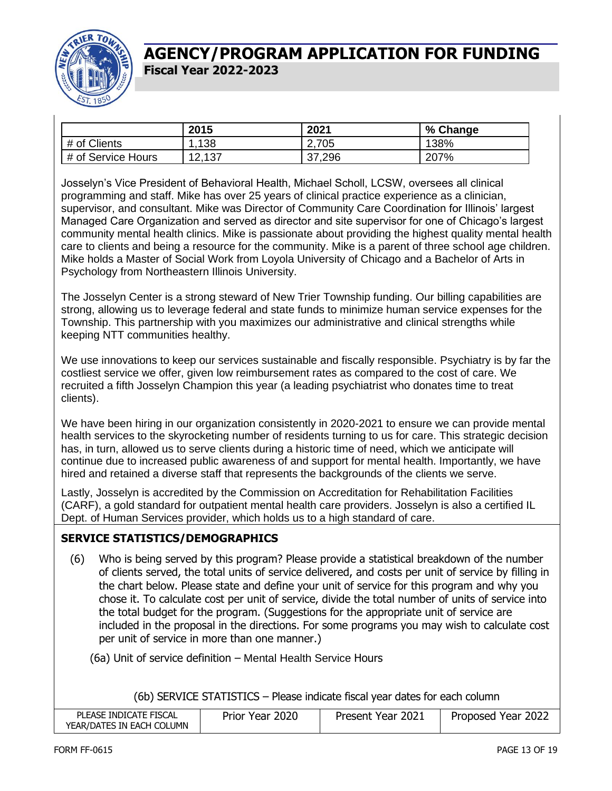

|                    | 2015   | 2021   | % Change |
|--------------------|--------|--------|----------|
| # of Clients       | 138    | 2,705  | 138%     |
| # of Service Hours | 12,137 | 37,296 | 207%     |

Josselyn's Vice President of Behavioral Health, Michael Scholl, LCSW, oversees all clinical programming and staff. Mike has over 25 years of clinical practice experience as a clinician, supervisor, and consultant. Mike was Director of Community Care Coordination for Illinois' largest Managed Care Organization and served as director and site supervisor for one of Chicago's largest community mental health clinics. Mike is passionate about providing the highest quality mental health care to clients and being a resource for the community. Mike is a parent of three school age children. Mike holds a Master of Social Work from Loyola University of Chicago and a Bachelor of Arts in Psychology from Northeastern Illinois University.

The Josselyn Center is a strong steward of New Trier Township funding. Our billing capabilities are strong, allowing us to leverage federal and state funds to minimize human service expenses for the Township. This partnership with you maximizes our administrative and clinical strengths while keeping NTT communities healthy.

We use innovations to keep our services sustainable and fiscally responsible. Psychiatry is by far the costliest service we offer, given low reimbursement rates as compared to the cost of care. We recruited a fifth Josselyn Champion this year (a leading psychiatrist who donates time to treat clients).

We have been hiring in our organization consistently in 2020-2021 to ensure we can provide mental health services to the skyrocketing number of residents turning to us for care. This strategic decision has, in turn, allowed us to serve clients during a historic time of need, which we anticipate will continue due to increased public awareness of and support for mental health. Importantly, we have hired and retained a diverse staff that represents the backgrounds of the clients we serve.

Lastly, Josselyn is accredited by the Commission on Accreditation for Rehabilitation Facilities (CARF), a gold standard for outpatient mental health care providers. Josselyn is also a certified IL Dept. of Human Services provider, which holds us to a high standard of care.

#### **SERVICE STATISTICS/DEMOGRAPHICS**

(6) Who is being served by this program? Please provide a statistical breakdown of the number of clients served, the total units of service delivered, and costs per unit of service by filling in the chart below. Please state and define your unit of service for this program and why you chose it. To calculate cost per unit of service, divide the total number of units of service into the total budget for the program. (Suggestions for the appropriate unit of service are included in the proposal in the directions. For some programs you may wish to calculate cost per unit of service in more than one manner.)

(6a) Unit of service definition – Mental Health Service Hours

(6b) SERVICE STATISTICS – Please indicate fiscal year dates for each column

| PLEASE INDICATE FISCAL    | Prior Year 2020 | Present Year 2021 | Proposed Year 2022 |
|---------------------------|-----------------|-------------------|--------------------|
| YEAR/DATES IN EACH COLUMN |                 |                   |                    |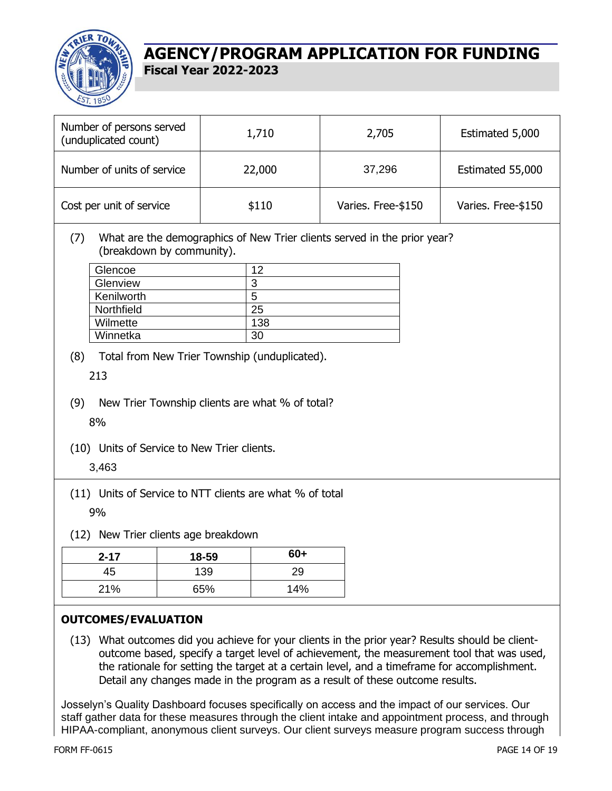

| Number of persons served<br>(unduplicated count)                                                                                                         |                                                                                                                               | 1,710                           | 2,705                                                                    | Estimated 5,000    |
|----------------------------------------------------------------------------------------------------------------------------------------------------------|-------------------------------------------------------------------------------------------------------------------------------|---------------------------------|--------------------------------------------------------------------------|--------------------|
| Number of units of service                                                                                                                               |                                                                                                                               | 22,000                          | 37,296                                                                   | Estimated 55,000   |
| Cost per unit of service                                                                                                                                 |                                                                                                                               | \$110                           | Varies. Free-\$150                                                       | Varies. Free-\$150 |
| (7)<br>Glencoe<br>Glenview<br>Kenilworth<br>Northfield<br>Wilmette<br>Winnetka<br>(8)<br>213<br>(9)<br>8%<br>(10) Units of Service to New Trier clients. | (breakdown by community).<br>Total from New Trier Township (unduplicated).<br>New Trier Township clients are what % of total? | 12<br>3<br>5<br>25<br>138<br>30 | What are the demographics of New Trier clients served in the prior year? |                    |
| 3,463<br>(11) Units of Service to NTT clients are what % of total<br>9%                                                                                  |                                                                                                                               |                                 |                                                                          |                    |
| (12) New Trier clients age breakdown                                                                                                                     |                                                                                                                               |                                 |                                                                          |                    |
| $2 - 17$                                                                                                                                                 | 18-59                                                                                                                         | $60+$                           |                                                                          |                    |
| 45                                                                                                                                                       | 139                                                                                                                           | 29                              |                                                                          |                    |
| 21%                                                                                                                                                      | 65%                                                                                                                           | 14%                             |                                                                          |                    |

#### **OUTCOMES/EVALUATION**

(13) What outcomes did you achieve for your clients in the prior year? Results should be clientoutcome based, specify a target level of achievement, the measurement tool that was used, the rationale for setting the target at a certain level, and a timeframe for accomplishment. Detail any changes made in the program as a result of these outcome results.

Josselyn's Quality Dashboard focuses specifically on access and the impact of our services. Our staff gather data for these measures through the client intake and appointment process, and through HIPAA-compliant, anonymous client surveys. Our client surveys measure program success through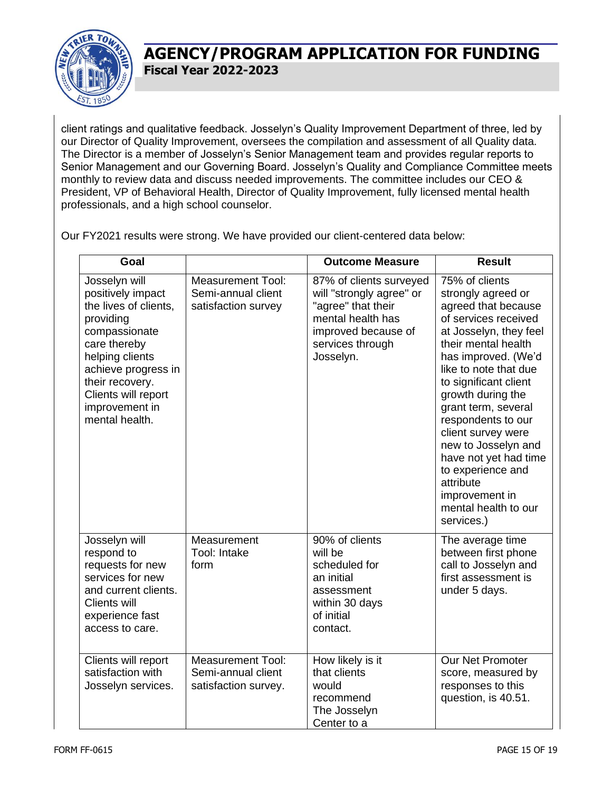

client ratings and qualitative feedback. Josselyn's Quality Improvement Department of three, led by our Director of Quality Improvement, oversees the compilation and assessment of all Quality data. The Director is a member of Josselyn's Senior Management team and provides regular reports to Senior Management and our Governing Board. Josselyn's Quality and Compliance Committee meets monthly to review data and discuss needed improvements. The committee includes our CEO & President, VP of Behavioral Health, Director of Quality Improvement, fully licensed mental health professionals, and a high school counselor.

Our FY2021 results were strong. We have provided our client-centered data below:

| Goal                                                                                                                                                                                                                              |                                                                        | <b>Outcome Measure</b>                                                                                                                                 | <b>Result</b>                                                                                                                                                                                                                                                                                                                                                                                                                                   |
|-----------------------------------------------------------------------------------------------------------------------------------------------------------------------------------------------------------------------------------|------------------------------------------------------------------------|--------------------------------------------------------------------------------------------------------------------------------------------------------|-------------------------------------------------------------------------------------------------------------------------------------------------------------------------------------------------------------------------------------------------------------------------------------------------------------------------------------------------------------------------------------------------------------------------------------------------|
| Josselyn will<br>positively impact<br>the lives of clients,<br>providing<br>compassionate<br>care thereby<br>helping clients<br>achieve progress in<br>their recovery.<br>Clients will report<br>improvement in<br>mental health. | <b>Measurement Tool:</b><br>Semi-annual client<br>satisfaction survey  | 87% of clients surveyed<br>will "strongly agree" or<br>"agree" that their<br>mental health has<br>improved because of<br>services through<br>Josselyn. | 75% of clients<br>strongly agreed or<br>agreed that because<br>of services received<br>at Josselyn, they feel<br>their mental health<br>has improved. (We'd<br>like to note that due<br>to significant client<br>growth during the<br>grant term, several<br>respondents to our<br>client survey were<br>new to Josselyn and<br>have not yet had time<br>to experience and<br>attribute<br>improvement in<br>mental health to our<br>services.) |
| Josselyn will<br>respond to<br>requests for new<br>services for new<br>and current clients.<br><b>Clients will</b><br>experience fast<br>access to care.                                                                          | Measurement<br>Tool: Intake<br>form                                    | 90% of clients<br>will be<br>scheduled for<br>an initial<br>assessment<br>within 30 days<br>of initial<br>contact.                                     | The average time<br>between first phone<br>call to Josselyn and<br>first assessment is<br>under 5 days.                                                                                                                                                                                                                                                                                                                                         |
| Clients will report<br>satisfaction with<br>Josselyn services.                                                                                                                                                                    | <b>Measurement Tool:</b><br>Semi-annual client<br>satisfaction survey. | How likely is it<br>that clients<br>would<br>recommend<br>The Josselyn<br>Center to a                                                                  | Our Net Promoter<br>score, measured by<br>responses to this<br>question, is 40.51.                                                                                                                                                                                                                                                                                                                                                              |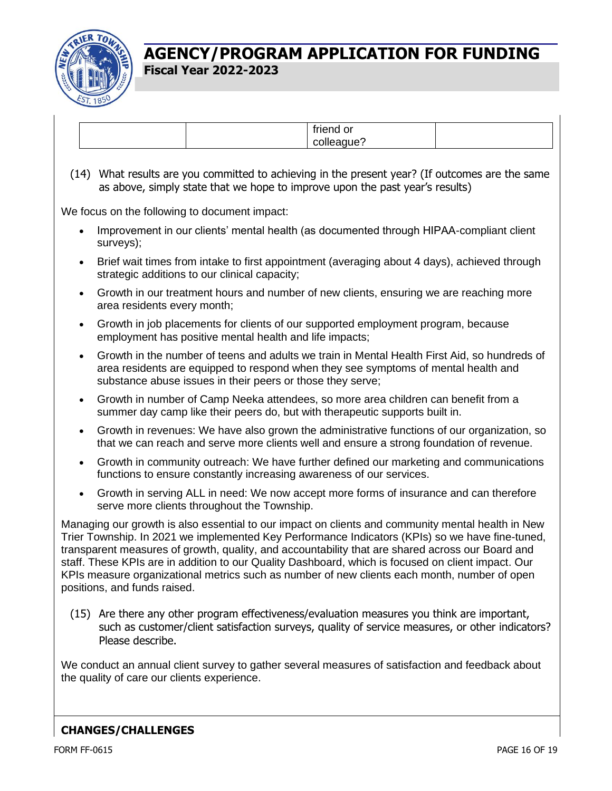

(14) What results are you committed to achieving in the present year? (If outcomes are the same as above, simply state that we hope to improve upon the past year's results)

We focus on the following to document impact:

- Improvement in our clients' mental health (as documented through HIPAA-compliant client surveys);
- Brief wait times from intake to first appointment (averaging about 4 days), achieved through strategic additions to our clinical capacity;
- Growth in our treatment hours and number of new clients, ensuring we are reaching more area residents every month;
- Growth in job placements for clients of our supported employment program, because employment has positive mental health and life impacts;
- Growth in the number of teens and adults we train in Mental Health First Aid, so hundreds of area residents are equipped to respond when they see symptoms of mental health and substance abuse issues in their peers or those they serve;
- Growth in number of Camp Neeka attendees, so more area children can benefit from a summer day camp like their peers do, but with therapeutic supports built in.
- Growth in revenues: We have also grown the administrative functions of our organization, so that we can reach and serve more clients well and ensure a strong foundation of revenue.
- Growth in community outreach: We have further defined our marketing and communications functions to ensure constantly increasing awareness of our services.
- Growth in serving ALL in need: We now accept more forms of insurance and can therefore serve more clients throughout the Township.

Managing our growth is also essential to our impact on clients and community mental health in New Trier Township. In 2021 we implemented Key Performance Indicators (KPIs) so we have fine-tuned, transparent measures of growth, quality, and accountability that are shared across our Board and staff. These KPIs are in addition to our Quality Dashboard, which is focused on client impact. Our KPIs measure organizational metrics such as number of new clients each month, number of open positions, and funds raised.

(15) Are there any other program effectiveness/evaluation measures you think are important, such as customer/client satisfaction surveys, quality of service measures, or other indicators? Please describe.

We conduct an annual client survey to gather several measures of satisfaction and feedback about the quality of care our clients experience.

#### **CHANGES/CHALLENGES**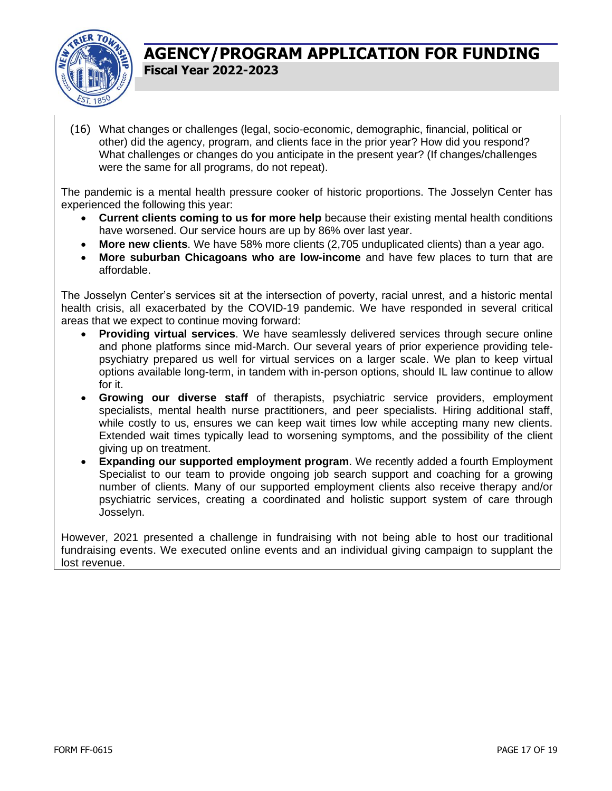

(16) What changes or challenges (legal, socio-economic, demographic, financial, political or other) did the agency, program, and clients face in the prior year? How did you respond? What challenges or changes do you anticipate in the present year? (If changes/challenges were the same for all programs, do not repeat).

The pandemic is a mental health pressure cooker of historic proportions. The Josselyn Center has experienced the following this year:

- **Current clients coming to us for more help** because their existing mental health conditions have worsened. Our service hours are up by 86% over last year.
- **More new clients**. We have 58% more clients (2,705 unduplicated clients) than a year ago.
- **More suburban Chicagoans who are low-income** and have few places to turn that are affordable.

The Josselyn Center's services sit at the intersection of poverty, racial unrest, and a historic mental health crisis, all exacerbated by the COVID-19 pandemic. We have responded in several critical areas that we expect to continue moving forward:

- **Providing virtual services**. We have seamlessly delivered services through secure online and phone platforms since mid-March. Our several years of prior experience providing telepsychiatry prepared us well for virtual services on a larger scale. We plan to keep virtual options available long-term, in tandem with in-person options, should IL law continue to allow for it.
- **Growing our diverse staff** of therapists, psychiatric service providers, employment specialists, mental health nurse practitioners, and peer specialists. Hiring additional staff, while costly to us, ensures we can keep wait times low while accepting many new clients. Extended wait times typically lead to worsening symptoms, and the possibility of the client giving up on treatment.
- **Expanding our supported employment program**. We recently added a fourth Employment Specialist to our team to provide ongoing job search support and coaching for a growing number of clients. Many of our supported employment clients also receive therapy and/or psychiatric services, creating a coordinated and holistic support system of care through Josselyn.

However, 2021 presented a challenge in fundraising with not being able to host our traditional fundraising events. We executed online events and an individual giving campaign to supplant the lost revenue.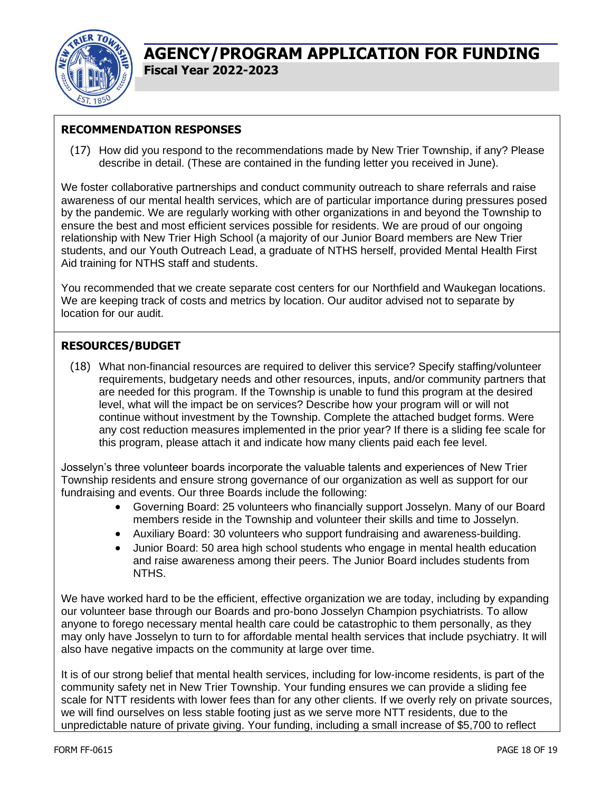

#### **RECOMMENDATION RESPONSES**

(17) How did you respond to the recommendations made by New Trier Township, if any? Please describe in detail. (These are contained in the funding letter you received in June).

We foster collaborative partnerships and conduct community outreach to share referrals and raise awareness of our mental health services, which are of particular importance during pressures posed by the pandemic. We are regularly working with other organizations in and beyond the Township to ensure the best and most efficient services possible for residents. We are proud of our ongoing relationship with New Trier High School (a majority of our Junior Board members are New Trier students, and our Youth Outreach Lead, a graduate of NTHS herself, provided Mental Health First Aid training for NTHS staff and students.

You recommended that we create separate cost centers for our Northfield and Waukegan locations. We are keeping track of costs and metrics by location. Our auditor advised not to separate by location for our audit.

#### **RESOURCES/BUDGET**

(18) What non-financial resources are required to deliver this service? Specify staffing/volunteer requirements, budgetary needs and other resources, inputs, and/or community partners that are needed for this program. If the Township is unable to fund this program at the desired level, what will the impact be on services? Describe how your program will or will not continue without investment by the Township. Complete the attached budget forms. Were any cost reduction measures implemented in the prior year? If there is a sliding fee scale for this program, please attach it and indicate how many clients paid each fee level.

Josselyn's three volunteer boards incorporate the valuable talents and experiences of New Trier Township residents and ensure strong governance of our organization as well as support for our fundraising and events. Our three Boards include the following:

- Governing Board: 25 volunteers who financially support Josselyn. Many of our Board members reside in the Township and volunteer their skills and time to Josselyn.
- Auxiliary Board: 30 volunteers who support fundraising and awareness-building.
- Junior Board: 50 area high school students who engage in mental health education and raise awareness among their peers. The Junior Board includes students from NTHS.

We have worked hard to be the efficient, effective organization we are today, including by expanding our volunteer base through our Boards and pro-bono Josselyn Champion psychiatrists. To allow anyone to forego necessary mental health care could be catastrophic to them personally, as they may only have Josselyn to turn to for affordable mental health services that include psychiatry. It will also have negative impacts on the community at large over time.

It is of our strong belief that mental health services, including for low-income residents, is part of the community safety net in New Trier Township. Your funding ensures we can provide a sliding fee scale for NTT residents with lower fees than for any other clients. If we overly rely on private sources, we will find ourselves on less stable footing just as we serve more NTT residents, due to the unpredictable nature of private giving. Your funding, including a small increase of \$5,700 to reflect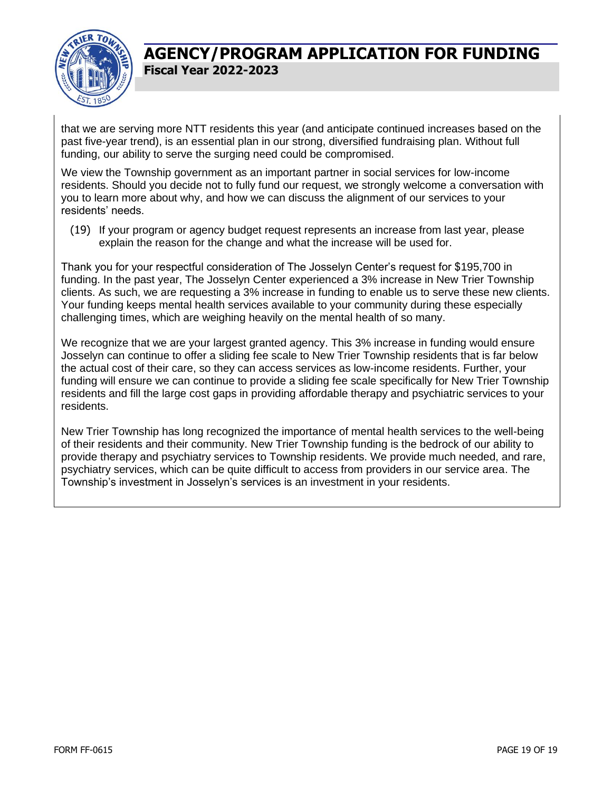

that we are serving more NTT residents this year (and anticipate continued increases based on the past five-year trend), is an essential plan in our strong, diversified fundraising plan. Without full funding, our ability to serve the surging need could be compromised.

We view the Township government as an important partner in social services for low-income residents. Should you decide not to fully fund our request, we strongly welcome a conversation with you to learn more about why, and how we can discuss the alignment of our services to your residents' needs.

(19) If your program or agency budget request represents an increase from last year, please explain the reason for the change and what the increase will be used for.

Thank you for your respectful consideration of The Josselyn Center's request for \$195,700 in funding. In the past year, The Josselyn Center experienced a 3% increase in New Trier Township clients. As such, we are requesting a 3% increase in funding to enable us to serve these new clients. Your funding keeps mental health services available to your community during these especially challenging times, which are weighing heavily on the mental health of so many.

We recognize that we are your largest granted agency. This 3% increase in funding would ensure Josselyn can continue to offer a sliding fee scale to New Trier Township residents that is far below the actual cost of their care, so they can access services as low-income residents. Further, your funding will ensure we can continue to provide a sliding fee scale specifically for New Trier Township residents and fill the large cost gaps in providing affordable therapy and psychiatric services to your residents.

New Trier Township has long recognized the importance of mental health services to the well-being of their residents and their community. New Trier Township funding is the bedrock of our ability to provide therapy and psychiatry services to Township residents. We provide much needed, and rare, psychiatry services, which can be quite difficult to access from providers in our service area. The Township's investment in Josselyn's services is an investment in your residents.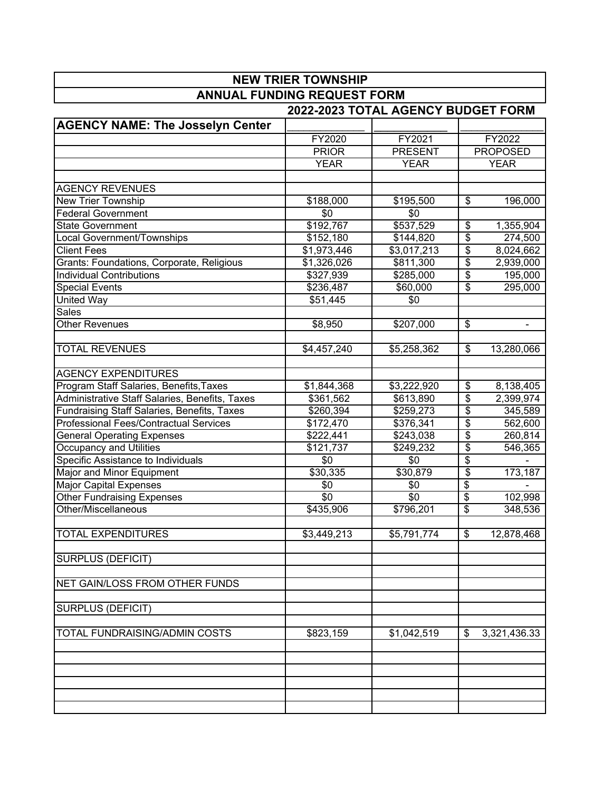| <b>NEW TRIER TOWNSHIP</b>                      |              |                                    |                          |                 |  |
|------------------------------------------------|--------------|------------------------------------|--------------------------|-----------------|--|
| <b>ANNUAL FUNDING REQUEST FORM</b>             |              |                                    |                          |                 |  |
|                                                |              | 2022-2023 TOTAL AGENCY BUDGET FORM |                          |                 |  |
| <b>AGENCY NAME: The Josselyn Center</b>        |              |                                    |                          |                 |  |
|                                                | FY2020       | FY2021                             |                          | FY2022          |  |
|                                                | <b>PRIOR</b> | <b>PRESENT</b>                     |                          | <b>PROPOSED</b> |  |
|                                                | <b>YEAR</b>  | <b>YEAR</b>                        |                          | <b>YEAR</b>     |  |
|                                                |              |                                    |                          |                 |  |
| <b>AGENCY REVENUES</b>                         |              |                                    |                          |                 |  |
| New Trier Township                             | \$188,000    | \$195,500                          | \$                       | 196,000         |  |
| <b>Federal Government</b>                      | \$0          | \$0                                |                          |                 |  |
| State Government                               | \$192,767    | \$537,529                          | \$                       | 1,355,904       |  |
| Local Government/Townships                     | \$152,180    | \$144,820                          | \$                       | 274,500         |  |
| <b>Client Fees</b>                             | \$1,973,446  | \$3,017,213                        | \$                       | 8,024,662       |  |
| Grants: Foundations, Corporate, Religious      | \$1,326,026  | \$811,300                          | \$                       | 2,939,000       |  |
| <b>Individual Contributions</b>                | \$327,939    | \$285,000                          | \$                       | 195,000         |  |
| <b>Special Events</b>                          | \$236,487    | \$60,000                           | \$                       | 295,000         |  |
| <b>United Way</b>                              | \$51,445     | \$0                                |                          |                 |  |
| Sales                                          |              |                                    |                          |                 |  |
| <b>Other Revenues</b>                          | \$8,950      | \$207,000                          | $\sqrt[6]{2}$            |                 |  |
|                                                |              |                                    |                          |                 |  |
| <b>TOTAL REVENUES</b>                          | \$4,457,240  | \$5,258,362                        | \$                       | 13,280,066      |  |
|                                                |              |                                    |                          |                 |  |
| <b>AGENCY EXPENDITURES</b>                     |              |                                    |                          |                 |  |
| Program Staff Salaries, Benefits, Taxes        | \$1,844,368  | \$3,222,920                        | $\overline{\$}$          | 8,138,405       |  |
| Administrative Staff Salaries, Benefits, Taxes | \$361,562    | \$613,890                          | \$                       | 2,399,974       |  |
| Fundraising Staff Salaries, Benefits, Taxes    | \$260,394    | \$259,273                          | \$                       | 345,589         |  |
| Professional Fees/Contractual Services         | \$172,470    | \$376,341                          | \$                       | 562,600         |  |
| <b>General Operating Expenses</b>              | \$222,441    | \$243,038                          | \$                       | 260,814         |  |
| Occupancy and Utilities                        | \$121,737    | \$249,232                          | \$                       | 546,365         |  |
| Specific Assistance to Individuals             | \$0          | \$0                                | \$                       |                 |  |
| Major and Minor Equipment                      | \$30,335     | \$30,879                           | \$                       | 173,187         |  |
| <b>Major Capital Expenses</b>                  | \$0          | \$0                                | \$                       |                 |  |
| Other Fundraising Expenses                     | \$0          | $\sqrt{$0}$                        | $\overline{\mathcal{S}}$ | 102,998         |  |
| Other/Miscellaneous                            | \$435,906    | \$796,201                          | \$                       | 348,536         |  |
|                                                |              |                                    |                          |                 |  |
| <b>TOTAL EXPENDITURES</b>                      | \$3,449,213  | \$5,791,774                        | \$                       | 12,878,468      |  |
| SURPLUS (DEFICIT)                              |              |                                    |                          |                 |  |
|                                                |              |                                    |                          |                 |  |
| NET GAIN/LOSS FROM OTHER FUNDS                 |              |                                    |                          |                 |  |
|                                                |              |                                    |                          |                 |  |
| SURPLUS (DEFICIT)                              |              |                                    |                          |                 |  |
|                                                |              |                                    |                          |                 |  |
| <b>TOTAL FUNDRAISING/ADMIN COSTS</b>           | \$823,159    | \$1,042,519                        | \$                       | 3,321,436.33    |  |
|                                                |              |                                    |                          |                 |  |
|                                                |              |                                    |                          |                 |  |
|                                                |              |                                    |                          |                 |  |
|                                                |              |                                    |                          |                 |  |
|                                                |              |                                    |                          |                 |  |
|                                                |              |                                    |                          |                 |  |

 $\overline{\phantom{a}}$